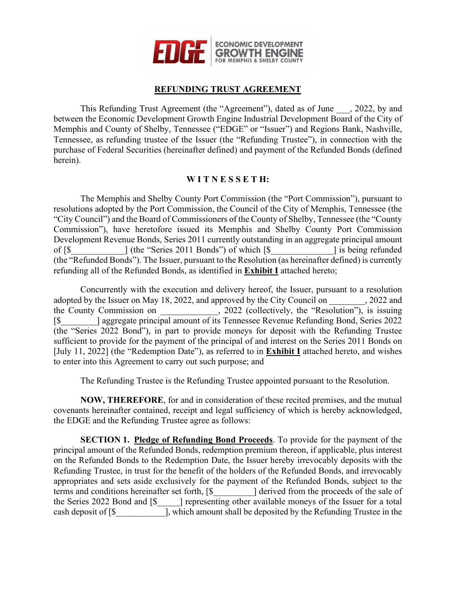

### **REFUNDING TRUST AGREEMENT**

This Refunding Trust Agreement (the "Agreement"), dated as of June , 2022, by and between the Economic Development Growth Engine Industrial Development Board of the City of Memphis and County of Shelby, Tennessee ("EDGE" or "Issuer") and Regions Bank, Nashville, Tennessee, as refunding trustee of the Issuer (the "Refunding Trustee"), in connection with the purchase of Federal Securities (hereinafter defined) and payment of the Refunded Bonds (defined herein).

#### **W I T N E S S E T H:**

The Memphis and Shelby County Port Commission (the "Port Commission"), pursuant to resolutions adopted by the Port Commission, the Council of the City of Memphis, Tennessee (the "City Council") and the Board of Commissioners of the County of Shelby, Tennessee (the "County Commission"), have heretofore issued its Memphis and Shelby County Port Commission Development Revenue Bonds, Series 2011 currently outstanding in an aggregate principal amount of  $\lceil \$\]$  (the "Series 2011 Bonds") of which  $\lceil \$\]$  is being refunded (the "Refunded Bonds"). The Issuer, pursuant to the Resolution (as hereinafter defined) is currently refunding all of the Refunded Bonds, as identified in **Exhibit I** attached hereto;

Concurrently with the execution and delivery hereof, the Issuer, pursuant to a resolution adopted by the Issuer on May 18, 2022, and approved by the City Council on  $\qquad \qquad$ , 2022 and the County Commission on \_\_\_\_\_\_\_\_\_\_\_\_\_, 2022 (collectively, the "Resolution"), is issuing [\$\_\_\_\_\_\_\_\_] aggregate principal amount of its Tennessee Revenue Refunding Bond, Series 2022 (the "Series 2022 Bond"), in part to provide moneys for deposit with the Refunding Trustee sufficient to provide for the payment of the principal of and interest on the Series 2011 Bonds on [July 11, 2022] (the "Redemption Date"), as referred to in **Exhibit I** attached hereto, and wishes to enter into this Agreement to carry out such purpose; and

The Refunding Trustee is the Refunding Trustee appointed pursuant to the Resolution.

**NOW, THEREFORE**, for and in consideration of these recited premises, and the mutual covenants hereinafter contained, receipt and legal sufficiency of which is hereby acknowledged, the EDGE and the Refunding Trustee agree as follows:

**SECTION 1. Pledge of Refunding Bond Proceeds**. To provide for the payment of the principal amount of the Refunded Bonds, redemption premium thereon, if applicable, plus interest on the Refunded Bonds to the Redemption Date, the Issuer hereby irrevocably deposits with the Refunding Trustee, in trust for the benefit of the holders of the Refunded Bonds, and irrevocably appropriates and sets aside exclusively for the payment of the Refunded Bonds, subject to the terms and conditions hereinafter set forth,  $\lceil \$\]$  derived from the proceeds of the sale of the Series 2022 Bond and [\$  $\blacksquare$ ] representing other available moneys of the Issuer for a total cash deposit of [\$\_\_\_\_\_\_\_\_\_\_\_], which amount shall be deposited by the Refunding Trustee in the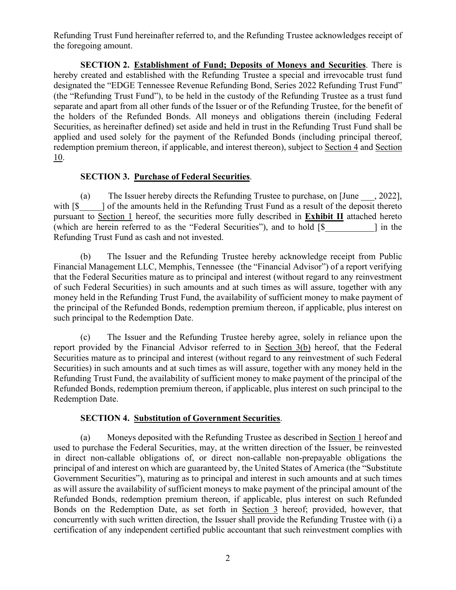Refunding Trust Fund hereinafter referred to, and the Refunding Trustee acknowledges receipt of the foregoing amount.

**SECTION 2. Establishment of Fund; Deposits of Moneys and Securities**. There is hereby created and established with the Refunding Trustee a special and irrevocable trust fund designated the "EDGE Tennessee Revenue Refunding Bond, Series 2022 Refunding Trust Fund" (the "Refunding Trust Fund"), to be held in the custody of the Refunding Trustee as a trust fund separate and apart from all other funds of the Issuer or of the Refunding Trustee, for the benefit of the holders of the Refunded Bonds. All moneys and obligations therein (including Federal Securities, as hereinafter defined) set aside and held in trust in the Refunding Trust Fund shall be applied and used solely for the payment of the Refunded Bonds (including principal thereof, redemption premium thereon, if applicable, and interest thereon), subject to Section 4 and Section 10.

#### **SECTION 3. Purchase of Federal Securities**.

(a) The Issuer hereby directs the Refunding Trustee to purchase, on [June \_\_\_, 2022], with  $\lceil \$\]$  of the amounts held in the Refunding Trust Fund as a result of the deposit thereto pursuant to Section 1 hereof, the securities more fully described in **Exhibit II** attached hereto (which are herein referred to as the "Federal Securities"), and to hold [\$\_\_\_\_\_\_\_\_\_\_\_] in the Refunding Trust Fund as cash and not invested.

(b) The Issuer and the Refunding Trustee hereby acknowledge receipt from Public Financial Management LLC, Memphis, Tennessee (the "Financial Advisor") of a report verifying that the Federal Securities mature as to principal and interest (without regard to any reinvestment of such Federal Securities) in such amounts and at such times as will assure, together with any money held in the Refunding Trust Fund, the availability of sufficient money to make payment of the principal of the Refunded Bonds, redemption premium thereon, if applicable, plus interest on such principal to the Redemption Date.

(c) The Issuer and the Refunding Trustee hereby agree, solely in reliance upon the report provided by the Financial Advisor referred to in Section 3(b) hereof, that the Federal Securities mature as to principal and interest (without regard to any reinvestment of such Federal Securities) in such amounts and at such times as will assure, together with any money held in the Refunding Trust Fund, the availability of sufficient money to make payment of the principal of the Refunded Bonds, redemption premium thereon, if applicable, plus interest on such principal to the Redemption Date.

#### **SECTION 4. Substitution of Government Securities**.

(a) Moneys deposited with the Refunding Trustee as described in Section 1 hereof and used to purchase the Federal Securities, may, at the written direction of the Issuer, be reinvested in direct non-callable obligations of, or direct non-callable non-prepayable obligations the principal of and interest on which are guaranteed by, the United States of America (the "Substitute Government Securities"), maturing as to principal and interest in such amounts and at such times as will assure the availability of sufficient moneys to make payment of the principal amount of the Refunded Bonds, redemption premium thereon, if applicable, plus interest on such Refunded Bonds on the Redemption Date, as set forth in Section 3 hereof; provided, however, that concurrently with such written direction, the Issuer shall provide the Refunding Trustee with (i) a certification of any independent certified public accountant that such reinvestment complies with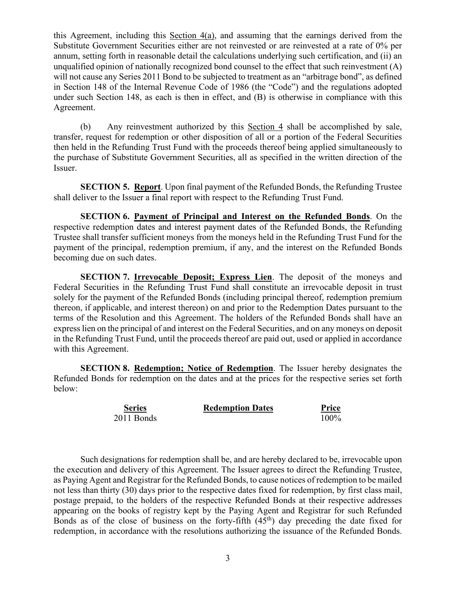this Agreement, including this Section 4(a), and assuming that the earnings derived from the Substitute Government Securities either are not reinvested or are reinvested at a rate of 0% per annum, setting forth in reasonable detail the calculations underlying such certification, and (ii) an unqualified opinion of nationally recognized bond counsel to the effect that such reinvestment (A) will not cause any Series 2011 Bond to be subjected to treatment as an "arbitrage bond", as defined in Section 148 of the Internal Revenue Code of 1986 (the "Code") and the regulations adopted under such Section 148, as each is then in effect, and (B) is otherwise in compliance with this Agreement.

(b) Any reinvestment authorized by this Section 4 shall be accomplished by sale, transfer, request for redemption or other disposition of all or a portion of the Federal Securities then held in the Refunding Trust Fund with the proceeds thereof being applied simultaneously to the purchase of Substitute Government Securities, all as specified in the written direction of the Issuer.

**SECTION 5. Report**. Upon final payment of the Refunded Bonds, the Refunding Trustee shall deliver to the Issuer a final report with respect to the Refunding Trust Fund.

**SECTION 6. Payment of Principal and Interest on the Refunded Bonds**. On the respective redemption dates and interest payment dates of the Refunded Bonds, the Refunding Trustee shall transfer sufficient moneys from the moneys held in the Refunding Trust Fund for the payment of the principal, redemption premium, if any, and the interest on the Refunded Bonds becoming due on such dates.

**SECTION 7. Irrevocable Deposit; Express Lien**. The deposit of the moneys and Federal Securities in the Refunding Trust Fund shall constitute an irrevocable deposit in trust solely for the payment of the Refunded Bonds (including principal thereof, redemption premium thereon, if applicable, and interest thereon) on and prior to the Redemption Dates pursuant to the terms of the Resolution and this Agreement. The holders of the Refunded Bonds shall have an express lien on the principal of and interest on the Federal Securities, and on any moneys on deposit in the Refunding Trust Fund, until the proceeds thereof are paid out, used or applied in accordance with this Agreement.

**SECTION 8. Redemption; Notice of Redemption**. The Issuer hereby designates the Refunded Bonds for redemption on the dates and at the prices for the respective series set forth below:

| <b>Series</b> | <b>Redemption Dates</b> | <b>Price</b> |
|---------------|-------------------------|--------------|
| 2011 Bonds    |                         | 100%         |

Such designations for redemption shall be, and are hereby declared to be, irrevocable upon the execution and delivery of this Agreement. The Issuer agrees to direct the Refunding Trustee, as Paying Agent and Registrar for the Refunded Bonds, to cause notices of redemption to be mailed not less than thirty (30) days prior to the respective dates fixed for redemption, by first class mail, postage prepaid, to the holders of the respective Refunded Bonds at their respective addresses appearing on the books of registry kept by the Paying Agent and Registrar for such Refunded Bonds as of the close of business on the forty-fifth  $(45<sup>th</sup>)$  day preceding the date fixed for redemption, in accordance with the resolutions authorizing the issuance of the Refunded Bonds.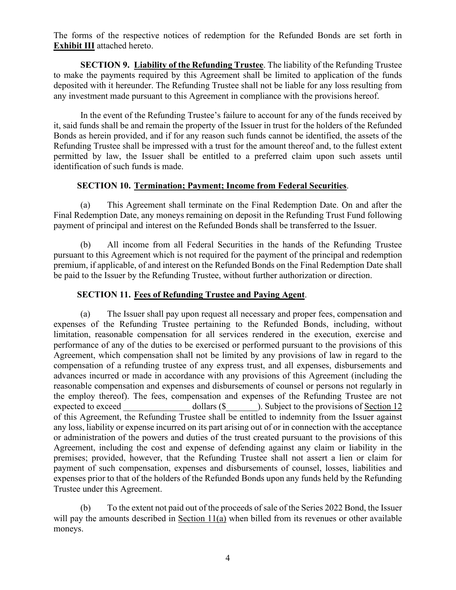The forms of the respective notices of redemption for the Refunded Bonds are set forth in **Exhibit III** attached hereto.

**SECTION 9. Liability of the Refunding Trustee**. The liability of the Refunding Trustee to make the payments required by this Agreement shall be limited to application of the funds deposited with it hereunder. The Refunding Trustee shall not be liable for any loss resulting from any investment made pursuant to this Agreement in compliance with the provisions hereof.

In the event of the Refunding Trustee's failure to account for any of the funds received by it, said funds shall be and remain the property of the Issuer in trust for the holders of the Refunded Bonds as herein provided, and if for any reason such funds cannot be identified, the assets of the Refunding Trustee shall be impressed with a trust for the amount thereof and, to the fullest extent permitted by law, the Issuer shall be entitled to a preferred claim upon such assets until identification of such funds is made.

#### **SECTION 10. Termination; Payment; Income from Federal Securities**.

(a) This Agreement shall terminate on the Final Redemption Date. On and after the Final Redemption Date, any moneys remaining on deposit in the Refunding Trust Fund following payment of principal and interest on the Refunded Bonds shall be transferred to the Issuer.

(b) All income from all Federal Securities in the hands of the Refunding Trustee pursuant to this Agreement which is not required for the payment of the principal and redemption premium, if applicable, of and interest on the Refunded Bonds on the Final Redemption Date shall be paid to the Issuer by the Refunding Trustee, without further authorization or direction.

#### **SECTION 11. Fees of Refunding Trustee and Paying Agent**.

(a) The Issuer shall pay upon request all necessary and proper fees, compensation and expenses of the Refunding Trustee pertaining to the Refunded Bonds, including, without limitation, reasonable compensation for all services rendered in the execution, exercise and performance of any of the duties to be exercised or performed pursuant to the provisions of this Agreement, which compensation shall not be limited by any provisions of law in regard to the compensation of a refunding trustee of any express trust, and all expenses, disbursements and advances incurred or made in accordance with any provisions of this Agreement (including the reasonable compensation and expenses and disbursements of counsel or persons not regularly in the employ thereof). The fees, compensation and expenses of the Refunding Trustee are not expected to exceed dollars (\$  $\qquad$  ). Subject to the provisions of Section 12 of this Agreement, the Refunding Trustee shall be entitled to indemnity from the Issuer against any loss, liability or expense incurred on its part arising out of or in connection with the acceptance or administration of the powers and duties of the trust created pursuant to the provisions of this Agreement, including the cost and expense of defending against any claim or liability in the premises; provided, however, that the Refunding Trustee shall not assert a lien or claim for payment of such compensation, expenses and disbursements of counsel, losses, liabilities and expenses prior to that of the holders of the Refunded Bonds upon any funds held by the Refunding Trustee under this Agreement.

(b) To the extent not paid out of the proceeds of sale of the Series 2022 Bond, the Issuer will pay the amounts described in Section 11(a) when billed from its revenues or other available moneys.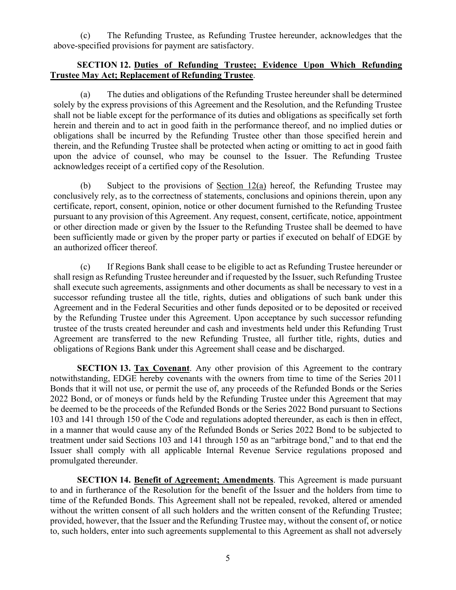(c) The Refunding Trustee, as Refunding Trustee hereunder, acknowledges that the above-specified provisions for payment are satisfactory.

#### **SECTION 12. Duties of Refunding Trustee; Evidence Upon Which Refunding Trustee May Act; Replacement of Refunding Trustee**.

(a) The duties and obligations of the Refunding Trustee hereunder shall be determined solely by the express provisions of this Agreement and the Resolution, and the Refunding Trustee shall not be liable except for the performance of its duties and obligations as specifically set forth herein and therein and to act in good faith in the performance thereof, and no implied duties or obligations shall be incurred by the Refunding Trustee other than those specified herein and therein, and the Refunding Trustee shall be protected when acting or omitting to act in good faith upon the advice of counsel, who may be counsel to the Issuer. The Refunding Trustee acknowledges receipt of a certified copy of the Resolution.

(b) Subject to the provisions of Section 12(a) hereof, the Refunding Trustee may conclusively rely, as to the correctness of statements, conclusions and opinions therein, upon any certificate, report, consent, opinion, notice or other document furnished to the Refunding Trustee pursuant to any provision of this Agreement. Any request, consent, certificate, notice, appointment or other direction made or given by the Issuer to the Refunding Trustee shall be deemed to have been sufficiently made or given by the proper party or parties if executed on behalf of EDGE by an authorized officer thereof.

(c) If Regions Bank shall cease to be eligible to act as Refunding Trustee hereunder or shall resign as Refunding Trustee hereunder and if requested by the Issuer, such Refunding Trustee shall execute such agreements, assignments and other documents as shall be necessary to vest in a successor refunding trustee all the title, rights, duties and obligations of such bank under this Agreement and in the Federal Securities and other funds deposited or to be deposited or received by the Refunding Trustee under this Agreement. Upon acceptance by such successor refunding trustee of the trusts created hereunder and cash and investments held under this Refunding Trust Agreement are transferred to the new Refunding Trustee, all further title, rights, duties and obligations of Regions Bank under this Agreement shall cease and be discharged.

**SECTION 13. Tax Covenant**. Any other provision of this Agreement to the contrary notwithstanding, EDGE hereby covenants with the owners from time to time of the Series 2011 Bonds that it will not use, or permit the use of, any proceeds of the Refunded Bonds or the Series 2022 Bond, or of moneys or funds held by the Refunding Trustee under this Agreement that may be deemed to be the proceeds of the Refunded Bonds or the Series 2022 Bond pursuant to Sections 103 and 141 through 150 of the Code and regulations adopted thereunder, as each is then in effect, in a manner that would cause any of the Refunded Bonds or Series 2022 Bond to be subjected to treatment under said Sections 103 and 141 through 150 as an "arbitrage bond," and to that end the Issuer shall comply with all applicable Internal Revenue Service regulations proposed and promulgated thereunder.

**SECTION 14. Benefit of Agreement; Amendments**. This Agreement is made pursuant to and in furtherance of the Resolution for the benefit of the Issuer and the holders from time to time of the Refunded Bonds. This Agreement shall not be repealed, revoked, altered or amended without the written consent of all such holders and the written consent of the Refunding Trustee; provided, however, that the Issuer and the Refunding Trustee may, without the consent of, or notice to, such holders, enter into such agreements supplemental to this Agreement as shall not adversely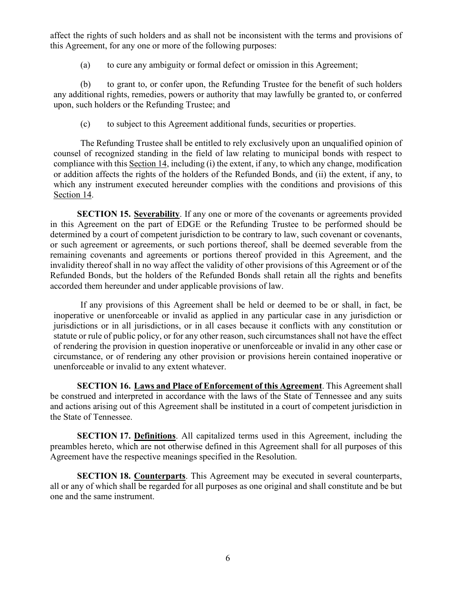affect the rights of such holders and as shall not be inconsistent with the terms and provisions of this Agreement, for any one or more of the following purposes:

(a) to cure any ambiguity or formal defect or omission in this Agreement;

(b) to grant to, or confer upon, the Refunding Trustee for the benefit of such holders any additional rights, remedies, powers or authority that may lawfully be granted to, or conferred upon, such holders or the Refunding Trustee; and

(c) to subject to this Agreement additional funds, securities or properties.

The Refunding Trustee shall be entitled to rely exclusively upon an unqualified opinion of counsel of recognized standing in the field of law relating to municipal bonds with respect to compliance with this Section 14, including (i) the extent, if any, to which any change, modification or addition affects the rights of the holders of the Refunded Bonds, and (ii) the extent, if any, to which any instrument executed hereunder complies with the conditions and provisions of this Section 14.

**SECTION 15. Severability**. If any one or more of the covenants or agreements provided in this Agreement on the part of EDGE or the Refunding Trustee to be performed should be determined by a court of competent jurisdiction to be contrary to law, such covenant or covenants, or such agreement or agreements, or such portions thereof, shall be deemed severable from the remaining covenants and agreements or portions thereof provided in this Agreement, and the invalidity thereof shall in no way affect the validity of other provisions of this Agreement or of the Refunded Bonds, but the holders of the Refunded Bonds shall retain all the rights and benefits accorded them hereunder and under applicable provisions of law.

If any provisions of this Agreement shall be held or deemed to be or shall, in fact, be inoperative or unenforceable or invalid as applied in any particular case in any jurisdiction or jurisdictions or in all jurisdictions, or in all cases because it conflicts with any constitution or statute or rule of public policy, or for any other reason, such circumstances shall not have the effect of rendering the provision in question inoperative or unenforceable or invalid in any other case or circumstance, or of rendering any other provision or provisions herein contained inoperative or unenforceable or invalid to any extent whatever.

**SECTION 16. Laws and Place of Enforcement of this Agreement**. This Agreement shall be construed and interpreted in accordance with the laws of the State of Tennessee and any suits and actions arising out of this Agreement shall be instituted in a court of competent jurisdiction in the State of Tennessee.

**SECTION 17. Definitions**. All capitalized terms used in this Agreement, including the preambles hereto, which are not otherwise defined in this Agreement shall for all purposes of this Agreement have the respective meanings specified in the Resolution.

**SECTION 18. Counterparts**. This Agreement may be executed in several counterparts, all or any of which shall be regarded for all purposes as one original and shall constitute and be but one and the same instrument.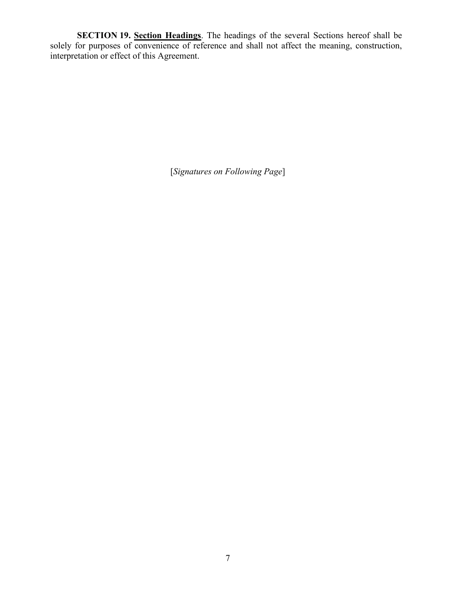**SECTION 19. Section Headings**. The headings of the several Sections hereof shall be solely for purposes of convenience of reference and shall not affect the meaning, construction, interpretation or effect of this Agreement.

[*Signatures on Following Page*]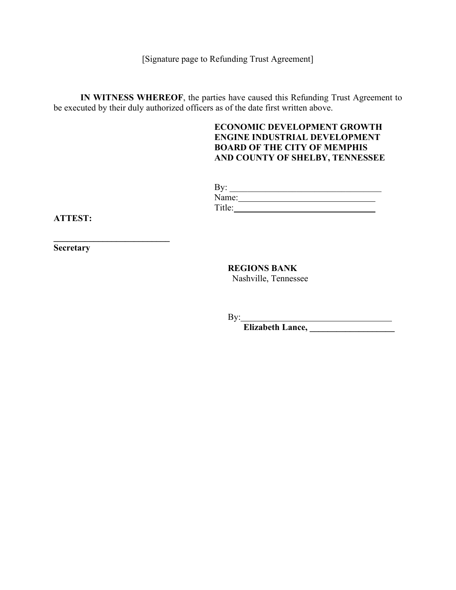[Signature page to Refunding Trust Agreement]

**IN WITNESS WHEREOF**, the parties have caused this Refunding Trust Agreement to be executed by their duly authorized officers as of the date first written above.

#### **ECONOMIC DEVELOPMENT GROWTH ENGINE INDUSTRIAL DEVELOPMENT BOARD OF THE CITY OF MEMPHIS AND COUNTY OF SHELBY, TENNESSEE**

| $\mathbf{D}_{\mathbf{v}}$<br>$\mathbf{v}$<br>ு |       |
|------------------------------------------------|-------|
|                                                | Name: |
| $Tifla$ .<br>1 IU.                             |       |

**ATTEST:**

**Secretary**

**\_\_\_\_\_\_\_\_\_\_\_\_\_\_\_\_\_\_\_\_\_\_\_\_\_\_** 

**REGIONS BANK** Nashville, Tennessee

By:

**Elizabeth Lance, \_\_\_\_\_\_\_\_\_\_\_\_\_\_\_\_\_\_\_**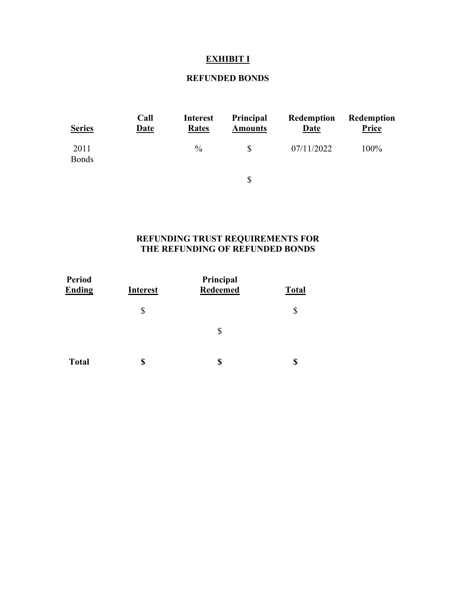# **EXHIBIT I**

### **REFUNDED BONDS**

| <b>Series</b>        | Call<br><b>Date</b> | <b>Interest</b><br>Rates | Principal<br><b>Amounts</b> | Redemption<br><b>Date</b> | <b>Redemption</b><br><b>Price</b> |
|----------------------|---------------------|--------------------------|-----------------------------|---------------------------|-----------------------------------|
| 2011<br><b>Bonds</b> |                     | $\frac{0}{0}$            | \$                          | 07/11/2022                | 100%                              |
|                      |                     |                          | \$                          |                           |                                   |

#### **REFUNDING TRUST REQUIREMENTS FOR THE REFUNDING OF REFUNDED BONDS**

| <b>Period</b><br><b>Ending</b> | <b>Interest</b> | Principal<br><b>Redeemed</b> | <b>Total</b> |  |
|--------------------------------|-----------------|------------------------------|--------------|--|
|                                | \$              |                              |              |  |
|                                |                 | \$                           |              |  |
| <b>Total</b>                   | \$              | \$                           |              |  |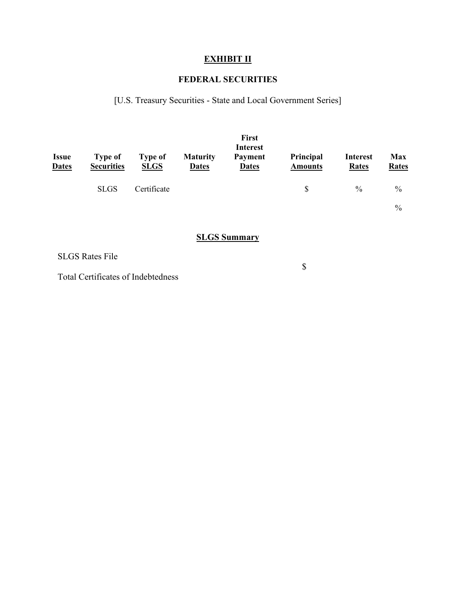## **EXHIBIT II**

### **FEDERAL SECURITIES**

[U.S. Treasury Securities - State and Local Government Series]

| <b>Issue</b><br><b>Dates</b> | <b>Type of</b><br><b>Securities</b> | <b>Type of</b><br><b>SLGS</b> | <b>Maturity</b><br><b>Dates</b> | <b>First</b><br><b>Interest</b><br><b>Payment</b><br><b>Dates</b> | Principal<br><b>Amounts</b> | <b>Interest</b><br><b>Rates</b> | <b>Max</b><br><b>Rates</b> |
|------------------------------|-------------------------------------|-------------------------------|---------------------------------|-------------------------------------------------------------------|-----------------------------|---------------------------------|----------------------------|
|                              | <b>SLGS</b>                         | Certificate                   |                                 |                                                                   | \$.                         | $\frac{0}{0}$                   | $\frac{0}{0}$              |
|                              |                                     |                               |                                 |                                                                   |                             |                                 | $\frac{0}{0}$              |

### **SLGS Summary**

SLGS Rates File

Total Certificates of Indebtedness

\$